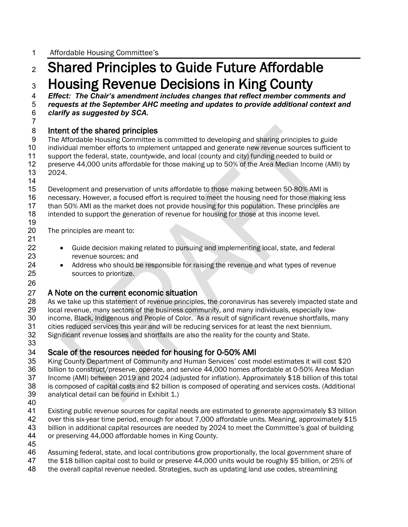# <sup>2</sup> Shared Principles to Guide Future Affordable 3 Housing Revenue Decisions in King County<br>4 Effect: The Chair's amendment includes changes that reflect member comm

4 *Effect: The Chair's amendment includes changes that reflect member comments and* 

5 *requests at the September AHC meeting and updates to provide additional context and* 

6 *clarify as suggested by SCA.* 7

### 8 **Intent of the shared principles**<br>9 The Affordable Housing Committee is

The Affordable Housing Committee is committed to developing and sharing principles to guide 10 individual member efforts to implement untapped and generate new revenue sources sufficient to 11 support the federal, state, countywide, and local (county and city) funding needed to build or<br>12 preserve 44,000 units affordable for those making up to 50% of the Area Median Income (AN 12 preserve 44,000 units affordable for those making up to 50% of the Area Median Income (AMI) by 13 2024.

14

26

15 Development and preservation of units affordable to those making between 50-80% AMI is<br>16 necessary. However, a focused effort is required to meet the housing need for those making necessary. However, a focused effort is required to meet the housing need for those making less 17 than 50% AMI as the market does not provide housing for this population. These principles are 18 intended to support the generation of revenue for housing for those at this income level.

19 The principles are meant to:

- 21
- 22 Guide decision making related to pursuing and implementing local, state, and federal<br>23  **Probabb** revenue sources: and revenue sources; and
- 24 Address who should be responsible for raising the revenue and what types of revenue<br>25 sources to prioritize. sources to prioritize.

## 27 A Note on the current economic situation<br>28 As we take up this statement of revenue principle

28 As we take up this statement of revenue principles, the coronavirus has severely impacted state and 29 Iocal revenue, many sectors of the business community, and many individuals, especially lowlocal revenue, many sectors of the business community, and many individuals, especially low-30 income, Black, Indigenous and People of Color. As a result of significant revenue shortfalls, many<br>31 cities reduced services this year and will be reducing services for at least the next biennium. 31 cities reduced services this year and will be reducing services for at least the next biennium.<br>32 Significant revenue losses and shortfalls are also the reality for the county and State.

Significant revenue losses and shortfalls are also the reality for the county and State. 33

### 34 Scale of the resources needed for housing for 0-50% AMI

35 King County Department of Community and Human Services' cost model estimates it will cost \$20<br>36 billion to construct/preserve, operate, and service 44,000 homes affordable at 0-50% Area Median 36 billion to construct/preserve, operate, and service 44,000 homes affordable at 0-50% Area Median<br>37 Income (AMI) between 2019 and 2024 (adiusted for inflation). Approximately \$18 billion of this tota Income (AMI) between 2019 and 2024 (adjusted for inflation). Approximately \$18 billion of this total 38 is composed of capital costs and \$2 billion is composed of operating and services costs. (Additional 39 analytical detail can be found in Exhibit 1.)

40

41 Existing public revenue sources for capital needs are estimated to generate approximately \$3 billion<br>42 over this six-vear time period, enough for about 7,000 affordable units. Meaning, approximately \$15 42 over this six-year time period, enough for about 7,000 affordable units. Meaning, approximately \$15<br>43 billion in additional capital resources are needed by 2024 to meet the Committee's goal of building billion in additional capital resources are needed by 2024 to meet the Committee's goal of building 44 or preserving 44,000 affordable homes in King County.

45

46 Assuming federal, state, and local contributions grow proportionally, the local government share of 47 the \$18 billion capital cost to build or preserve 44,000 units would be roughly \$5 billion, or 25% of

- the \$18 billion capital cost to build or preserve 44,000 units would be roughly \$5 billion, or 25% of
- 48 the overall capital revenue needed. Strategies, such as updating land use codes, streamlining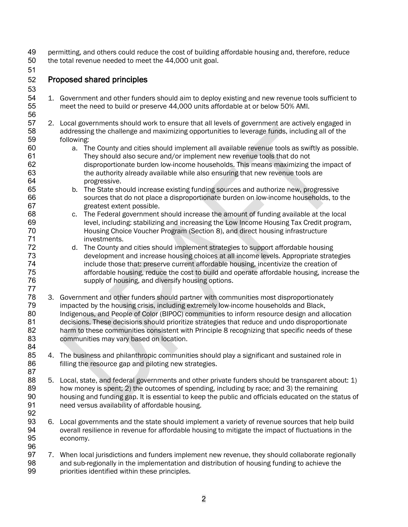- 49 permitting, and others could reduce the cost of building affordable housing and, therefore, reduce<br>50 the total revenue needed to meet the 44,000 unit goal. the total revenue needed to meet the 44,000 unit goal.
- 51

#### 52 Proposed shared principles

53

56

84

- 54 1. Government and other funders should aim to deploy existing and new revenue tools sufficient to<br>55 meet the need to build or preserve 44,000 units affordable at or below 50% AMI. meet the need to build or preserve 44,000 units affordable at or below 50% AMI.
- 57 2. Local governments should work to ensure that all levels of government are actively engaged in<br>58 addressing the challenge and maximizing opportunities to leverage funds, including all of the addressing the challenge and maximizing opportunities to leverage funds, including all of the 59 following:
- 60 a. The County and cities should implement all available revenue tools as swiftly as possible. 61 They should also secure and/or implement new revenue tools that do not<br>62 fisproportionate burden low-income households. This means maximizing to 62 disproportionate burden low-income households. This means maximizing the impact of 63 the authority already available while also ensuring that new revenue tools are the authority already available while also ensuring that new revenue tools are 64 progressive.
- 65 b. The State should increase existing funding sources and authorize new, progressive sources that do not place a disproportionate burden on low-income households, to the 67 greatest extent possible.
- 68 c. The Federal government should increase the amount of funding available at the local 69 level, including: stabilizing and increasing the Low Income Housing Tax Credit program, 70 Housing Choice Voucher Program (Section 8), and direct housing infrastructure 71 investments.<br>72 d. The County a
- d. The County and cities should implement strategies to support affordable housing 73 development and increase housing choices at all income levels. Appropriate strategies<br>74 finclude those that: preserve current affordable housing, incentivize the creation of include those that: preserve current affordable housing, incentivize the creation of 75 affordable housing, reduce the cost to build and operate affordable housing, increase the<br>76 supply of housing, and diversify housing options. supply of housing, and diversify housing options.
- 77 78 3. Government and other funders should partner with communities most disproportionately<br>79 monorted by the housing crisis, including extremely low-income households and Black. 79 impacted by the housing crisis, including extremely low-income households and Black,<br>80 Indigenous, and People of Color (BIPOC) communities to inform resource design and al 80 Indigenous, and People of Color (BIPOC) communities to inform resource design and allocation<br>81 decisions. These decisions should prioritize strategies that reduce and undo disproportionate 81 decisions. These decisions should prioritize strategies that reduce and undo disproportionate<br>82 harm to these communities consistent with Principle 8 recognizing that specific needs of these harm to these communities consistent with Principle 8 recognizing that specific needs of these 83 communities may vary based on location.
- 85 4. The business and philanthropic communities should play a significant and sustained role in 86 filling the resource gap and piloting new strategies. 87
- 88 5. Local, state, and federal governments and other private funders should be transparent about: 1)<br>89 how monev is spent: 2) the outcomes of spending, including by race: and 3) the remaining 89 how money is spent; 2) the outcomes of spending, including by race; and 3) the remaining<br>80 housing and funding gap. It is essential to keep the public and officials educated on the sta housing and funding gap. It is essential to keep the public and officials educated on the status of 91 need versus availability of affordable housing. 92
- 93 6. Local governments and the state should implement a variety of revenue sources that help build 94 overall resilience in revenue for affordable housing to mitigate the impact of fluctuations in the 95 economy. 96
- 97 7. When local jurisdictions and funders implement new revenue, they should collaborate regionally<br>98 and sub-regionally in the implementation and distribution of housing funding to achieve the and sub-regionally in the implementation and distribution of housing funding to achieve the 99 priorities identified within these principles.